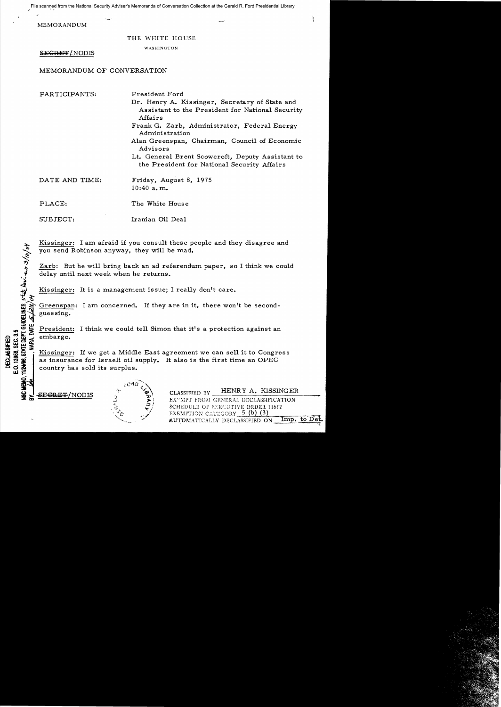File scanned from the National Security Adviser's Memoranda of Conversation Collection at the Gerald R. Ford Presidential Library

MEMORANDUM

## THE WHITE HOUSE

## WASHINGTON

SE<del>GRET/</del>NODIS

MEMORANDUM OF CONVERSATION

PARTICIPANTS: President Ford

- Dr. Henry A. Kissinger, Secretary of State and Assistant to the President for National Security Affairs
- Frank G. Zarb, Administrator, Federal Energy Administration
- Alan Greenspan, Chairman, Council of Economic Advisors
- Lt. General Brent Scowcroft, Deputy Assistant to the President for National Security Affairs

| DATE AND TIME: |  |              | Friday, August 8, 1975 |  |
|----------------|--|--------------|------------------------|--|
|                |  | $10:40$ a.m. |                        |  |

PLACE: The White House

.<br>Jer

 $v\approx 0.005$ 

 $\vec{u}$   $\equiv$ 

EMO.

SUBJECT: Iranian Oil Deal

Kissinger: I am afraid if you consult these people and they disagree and you send Robinson anyway, they will be mad.

Zarb: But he will bring back an ad referendum paper, so I think we could delay until next week when he returns.

Kissinger: It is a management issue; I really don't care.

Greenspan: I am concerned. If they are in it, there won't be secondguessing.

\*\*\* President: I think we could tell Simon that it's a protection against an<br>we could tell Simon that it's a protection against an<br>we will embargo.<br>We will see the set a Middle East agreement we can sell it to Congre<br>as in ELLES CONSTRUES CONSULTED AND CONSULTED ASSESSMENT CONTRACTORS ON A COUNTRACT CONTRACT COUNTRACT COUNTRACT COUNTRACT COUNTRACT COUNTRACT COUNTRACT COUNTRACT COUNTRACT COUNTRACT COUNTRACT COUNTRACT COUNTRACT COUNTRACT COUN Kissinger: If we get a Middle East agreement we can sell it to Congress as insurance for Israeli oil supply. It also is the first time an OPEC country has sold its surplus.

<del>SECRET</del>/NODIS



CLASSIFIED BY HENRY A. KISSINGER EX"MPT FROM GENERAL DECLASSIFICATION SCHEDULE OF ENROUTIVE ORDER 11652 EXEMPTION CATEGORY  $5$  (b) (3) AUTOMATICALLY DECLASSIFIED ON Imp. to  $\mathbf{De}$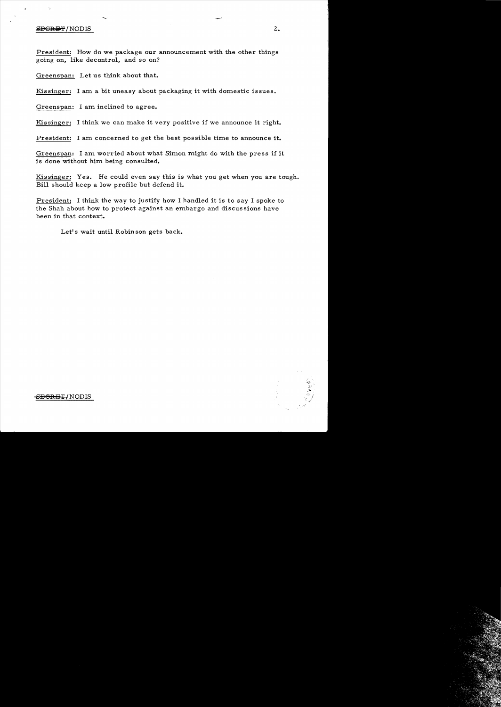## $S$  be seen as  $2.2$

President: How do we package our announcement with the other things going on, like decontrol, and so on?

Greenspan: Let us think about that.

Kissinger: I am a bit uneasy about packaging it with domestic issues.

Greenspan: I am inclined to agree.

Kissinger: I think we can make it very positive if we announce it right.

President: I am concerned to get the best possible time to announce it.

Greenspan: I am worried about what Simon might do with the press if it is done without him being consulted.

Kissinger: Yes. He could even say this is what you get when you are tough. Bill should keep a low profile but defend it.

President: I think the way to justify how I handled it is to say I spoke to the Shah about how to protect against an embargo and discus sions have been in that context.

Let's wait until Robin son gets back.

<del>-SEGRET/</del>NODIS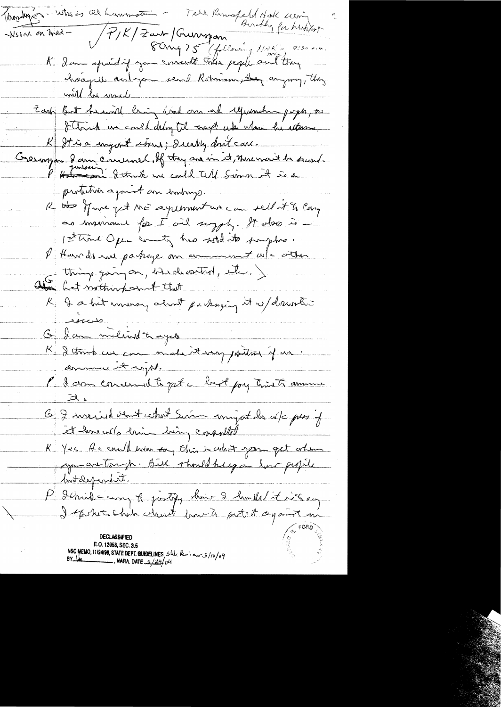i who is all hammotion - True Romosfeld Hok were Trophren P/K/Zart Grunspon 14 1920  $\sim$ Nssar on tried  $-$ K. I am spend if you smoot this people and they chaques and you send Romman, De anyway, they will be made Zark But heard ling lind and experience poper, to I think we could delig til trap with whom he returns. K It is a snigent store; I walkly don't care Cremoyer 2 ann Concerned off they are in it, Mercrait be second protection agonest an emborgo. R as Mine get ME agreement we can sell it is large ce immune for I ail suggly. It also is -1st trone Open county has sold its prophes. I them do not partage on comment w/c other als thing going on, break with, etc.) K I a hit morney about packaging it w/drawstic  $\overline{\mathcal{L}}$ Of Jam militard to dyes K detruite une matière en poitant que domment it ingt. l'I com concernal te qui a long timets aminum G I married went what Sim unifort de alc pessif<br>it have well anim dring consulted<br>K Yes A e could move soy this is what you get alm Mutdependet, P Jehnike way to justify show 2 hould it is a say DECLASSIFIFI E.O. 12958, SEC. 3.5<br>NSC MEMO, 11/24/98, STATE DEPT. GUIDELINES  $5\frac{1}{4}$  ( $\frac{1}{4}$  and 3/10/04<br>BY